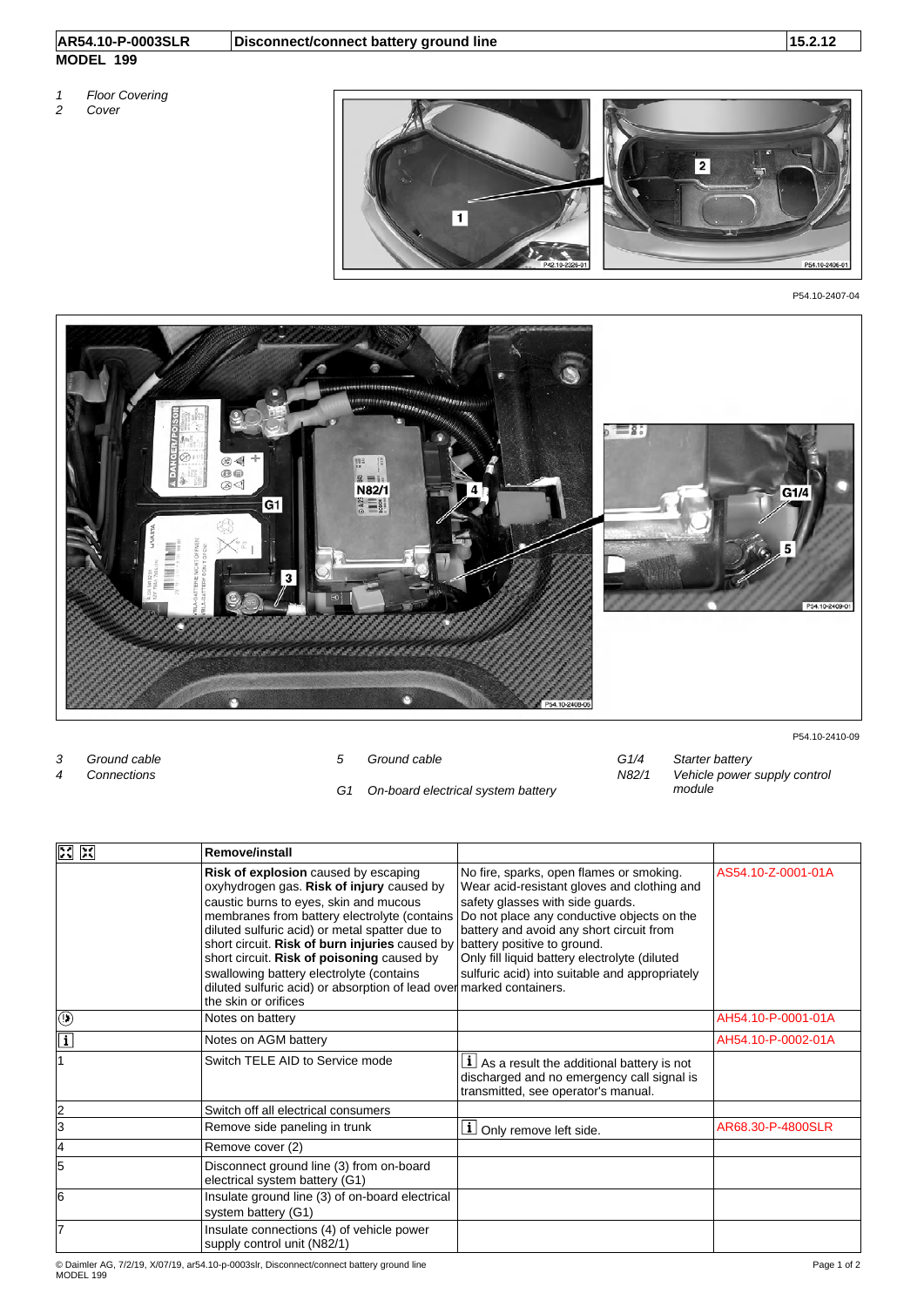## **MODEL 199**

- *1 Floor Covering*
- *2 Cover*



P54.10-2407-04



- 
- *G1 On-board electrical system battery module*

P54.10-2410-09

*3 Ground cable 5 Ground cable G1/4 Starter battery 4 Connections N82/1 Vehicle power supply control* 

| 区<br>区       | <b>Remove/install</b>                                                                                                                                                                                                                                                                                                                                                                                                                                                            |                                                                                                                                                                                                                                                                                                                                                         |                    |
|--------------|----------------------------------------------------------------------------------------------------------------------------------------------------------------------------------------------------------------------------------------------------------------------------------------------------------------------------------------------------------------------------------------------------------------------------------------------------------------------------------|---------------------------------------------------------------------------------------------------------------------------------------------------------------------------------------------------------------------------------------------------------------------------------------------------------------------------------------------------------|--------------------|
|              | <b>Risk of explosion</b> caused by escaping<br>oxyhydrogen gas. Risk of injury caused by<br>caustic burns to eyes, skin and mucous<br>membranes from battery electrolyte (contains<br>diluted sulfuric acid) or metal spatter due to<br>short circuit. Risk of burn injuries caused by<br>short circuit. Risk of poisoning caused by<br>swallowing battery electrolyte (contains<br>diluted sulfuric acid) or absorption of lead over marked containers.<br>the skin or orifices | No fire, sparks, open flames or smoking.<br>Wear acid-resistant gloves and clothing and<br>safety glasses with side guards.<br>Do not place any conductive objects on the<br>battery and avoid any short circuit from<br>battery positive to ground.<br>Only fill liquid battery electrolyte (diluted<br>sulfuric acid) into suitable and appropriately | AS54.10-Z-0001-01A |
| ◉            | Notes on battery                                                                                                                                                                                                                                                                                                                                                                                                                                                                 |                                                                                                                                                                                                                                                                                                                                                         | AH54.10-P-0001-01A |
| $\mathbf{i}$ | Notes on AGM battery                                                                                                                                                                                                                                                                                                                                                                                                                                                             |                                                                                                                                                                                                                                                                                                                                                         | AH54.10-P-0002-01A |
|              | Switch TELE AID to Service mode                                                                                                                                                                                                                                                                                                                                                                                                                                                  | $\lfloor \mathbf{i} \rfloor$ As a result the additional battery is not<br>discharged and no emergency call signal is<br>transmitted, see operator's manual.                                                                                                                                                                                             |                    |
| 2            | Switch off all electrical consumers                                                                                                                                                                                                                                                                                                                                                                                                                                              |                                                                                                                                                                                                                                                                                                                                                         |                    |
| 3            | Remove side paneling in trunk                                                                                                                                                                                                                                                                                                                                                                                                                                                    | <b>i</b> Only remove left side.                                                                                                                                                                                                                                                                                                                         | AR68.30-P-4800SLR  |
| 4            | Remove cover (2)                                                                                                                                                                                                                                                                                                                                                                                                                                                                 |                                                                                                                                                                                                                                                                                                                                                         |                    |
| 5            | Disconnect ground line (3) from on-board<br>electrical system battery (G1)                                                                                                                                                                                                                                                                                                                                                                                                       |                                                                                                                                                                                                                                                                                                                                                         |                    |
| 6            | Insulate ground line (3) of on-board electrical<br>system battery (G1)                                                                                                                                                                                                                                                                                                                                                                                                           |                                                                                                                                                                                                                                                                                                                                                         |                    |
| 7            | Insulate connections (4) of vehicle power<br>supply control unit (N82/1)                                                                                                                                                                                                                                                                                                                                                                                                         |                                                                                                                                                                                                                                                                                                                                                         |                    |

© Daimler AG, 7/2/19, X/07/19, ar54.10-p-0003slr, Disconnect/connect battery ground line<br>MODEL 199